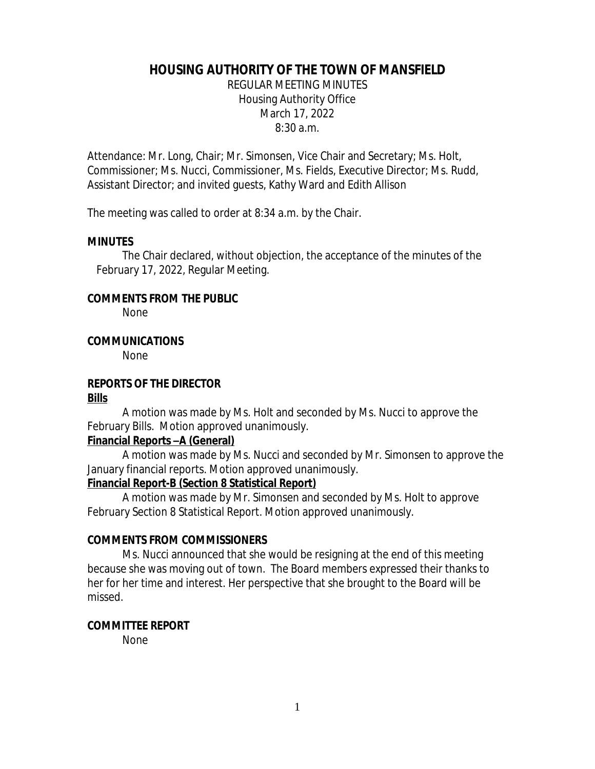# **HOUSING AUTHORITY OF THE TOWN OF MANSFIELD**

REGULAR MEETING MINUTES Housing Authority Office March 17, 2022 8:30 a.m.

Attendance: Mr. Long, Chair; Mr. Simonsen, Vice Chair and Secretary; Ms. Holt, Commissioner; Ms. Nucci, Commissioner, Ms. Fields, Executive Director; Ms. Rudd, Assistant Director; and invited guests, Kathy Ward and Edith Allison

The meeting was called to order at 8:34 a.m. by the Chair.

#### **MINUTES**

The Chair declared, without objection, the acceptance of the minutes of the February 17, 2022, Regular Meeting.

#### **COMMENTS FROM THE PUBLIC**

None

### **COMMUNICATIONS**

None

### **REPORTS OF THE DIRECTOR**

#### **Bills**

A motion was made by Ms. Holt and seconded by Ms. Nucci to approve the February Bills. Motion approved unanimously.

### **Financial Reports –A (General)**

A motion was made by Ms. Nucci and seconded by Mr. Simonsen to approve the January financial reports. Motion approved unanimously.

### **Financial Report-B (Section 8 Statistical Report)**

A motion was made by Mr. Simonsen and seconded by Ms. Holt to approve February Section 8 Statistical Report. Motion approved unanimously.

### **COMMENTS FROM COMMISSIONERS**

Ms. Nucci announced that she would be resigning at the end of this meeting because she was moving out of town. The Board members expressed their thanks to her for her time and interest. Her perspective that she brought to the Board will be missed.

#### **COMMITTEE REPORT**

None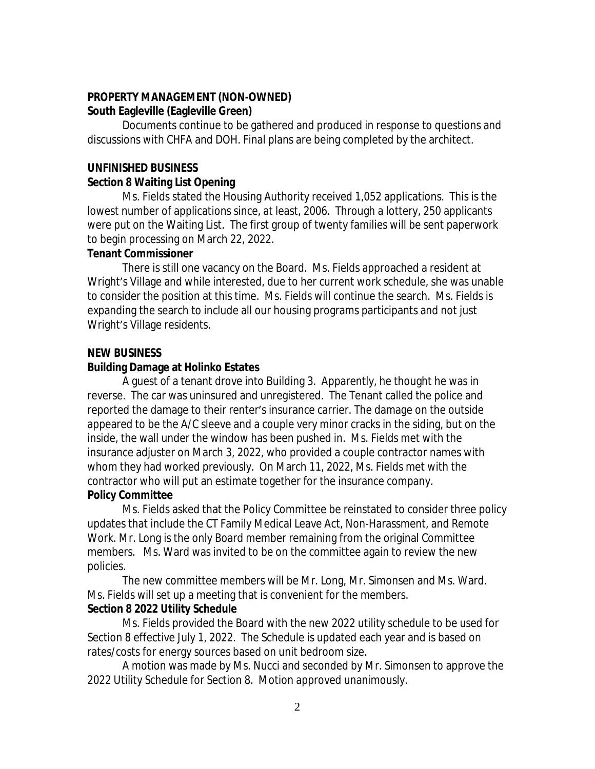### **PROPERTY MANAGEMENT (NON-OWNED) South Eagleville (Eagleville Green)**

Documents continue to be gathered and produced in response to questions and discussions with CHFA and DOH. Final plans are being completed by the architect.

### **UNFINISHED BUSINESS**

### **Section 8 Waiting List Opening**

Ms. Fields stated the Housing Authority received 1,052 applications. This is the lowest number of applications since, at least, 2006. Through a lottery, 250 applicants were put on the Waiting List. The first group of twenty families will be sent paperwork to begin processing on March 22, 2022.

### **Tenant Commissioner**

There is still one vacancy on the Board.Ms. Fields approached a resident at Wright's Village and while interested, due to her current work schedule, she was unable to consider the position at this time. Ms. Fields will continue the search. Ms. Fields is expanding the search to include all our housing programs participants and not just Wright's Village residents.

# **NEW BUSINESS**

## **Building Damage at Holinko Estates**

A guest of a tenant drove into Building 3. Apparently, he thought he was in reverse. The car was uninsured and unregistered. The Tenant called the police and reported the damage to their renter's insurance carrier. The damage on the outside appeared to be the A/C sleeve and a couple very minor cracks in the siding, but on the inside, the wall under the window has been pushed in. Ms. Fields met with the insurance adjuster on March 3, 2022, who provided a couple contractor names with whom they had worked previously. On March 11, 2022, Ms. Fields met with the contractor who will put an estimate together for the insurance company.

# **Policy Committee**

Ms. Fields asked that the Policy Committee be reinstated to consider three policy updates that include the CT Family Medical Leave Act, Non-Harassment, and Remote Work. Mr. Long is the only Board member remaining from the original Committee members. Ms. Ward was invited to be on the committee again to review the new policies.

The new committee members will be Mr. Long, Mr. Simonsen and Ms. Ward. Ms. Fields will set up a meeting that is convenient for the members.

# **Section 8 2022 Utility Schedule**

Ms. Fields provided the Board with the new 2022 utility schedule to be used for Section 8 effective July 1, 2022. The Schedule is updated each year and is based on rates/costs for energy sources based on unit bedroom size.

A motion was made by Ms. Nucci and seconded by Mr. Simonsen to approve the 2022 Utility Schedule for Section 8. Motion approved unanimously.